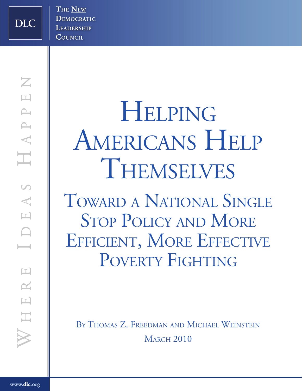**DLC** 

**HELPING** AMERICANS HELP **THEMSELVES** 

Toward <sup>a</sup> National Single STOP POLICY AND MORE EFFICIENT, MORE EFFECTIVE POVERTY FIGHTING

BY THOMAS Z. FREEDMAN AND MICHAEL WEINSTEIN **MARCH 2010**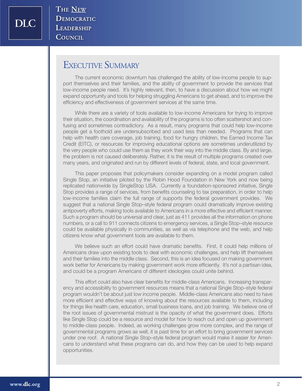**DLC** 

THE NEW DEMOCRATIC LEADERSHIP COUNCIL

## EXECUTIVE SUMMARY

The current economic downturn has challenged the ability of low-income people to support themselves and their families, and the ability of government to provide the services that low-income people need. It's highly relevant, then, to have a discussion about how we might expand opportunity and tools for helping struggling Americans to get ahead, and to improve the efficiency and effectiveness of government services at the same time.

While there are a variety of tools available to low-income Americans for trying to improve their situation, the coordination and availability of the programs is too often scattershot and confusing and sometimes contradictory. As a result, many programs that could help low-income people get a foothold are undersubscribed and used less than needed. Programs that can help with health care coverage, job training, food for hungry children, the Earned Income Tax Credit (EITC), or resources for improving educational options are sometimes underutilized by the very people who could use them as they work their way into the middle class. By and large, the problem is not caused deliberately. Rather, it is the result of multiple programs created over many years, and originated and run by different levels of federal, state, and local government.

This paper proposes that policymakers consider expanding on a model program called Single Stop, an initiative piloted by the Robin Hood Foundation in New York and now being replicated nationwide by SingleStop USA. Currently a foundation-sponsored initiative, Single Stop provides a range of services, from benefits counseling to tax preparation, in order to help low-income families claim the full range of supports the federal government provides. We suggest that a national Single Stop–style federal program could dramatically improve existing antipoverty efforts, making tools available to Americans in a more effective and efficient manner. Such a program should be universal and clear, just as 411 provides all the information on phone numbers, or a call to 911 connects citizens to emergency services, a Single Stop–style resource could be available physically in communities, as well as via telephone and the web, and help citizens know what government tools are available to them.

We believe such an effort could have dramatic benefits. First, it could help millions of Americans draw upon existing tools to deal with economic challenges, and help lift themselves and their families into the middle class. Second, this is an idea focused on making government work better for Americans by making government work more efficiently. It's not a partisan idea, and could be a program Americans of different ideologies could unite behind.

This effort could also have clear benefits for middle-class Americans. Increasing transparency and accessibility to government resources means that a national Single Stop–style federal program wouldn't be about just low income people. Middle-class Americans also need to have more efficient and effective ways of knowing about the resources available to them, including for things like health care, education, small business loans, and job training. We believe one of the root issues of governmental mistrust is the opacity of what the government does. Efforts like Single Stop could be a resource and model for how to reach out and open up government to middle-class people. Indeed, as working challenges grow more complex, and the range of governmental programs grows as well, it is past time for an effort to bring government services under one roof. A national Single Stop–style federal program would make it easier for Americans to understand what these programs can do, and how they can be used to help expand opportunities.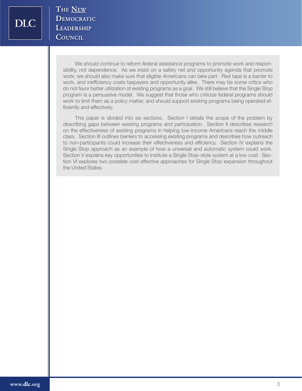We should continue to reform federal assistance programs to promote work and responsibility, not dependence. As we insist on a safety net and opportunity agenda that promote work, we should also make sure that eligible Americans can take part. Red tape is a barrier to work, and inefficiency costs taxpayers and opportunity alike. There may be some critics who do not favor better utilization of existing programs as a goal. We still believe that the Single Stop program is a persuasive model. We suggest that those who criticize federal programs should work to limit them as a policy matter, and should support existing programs being operated efficiently and effectively.

This paper is divided into six sections. Section I details the scope of the problem by describing gaps between existing programs and participation. Section II describes research on the effectiveness of existing programs in helping low-income Americans reach the middle class. Section III outlines barriers to accessing existing programs and describes how outreach to non-participants could increase their effectiveness and efficiency. Section IV explains the Single Stop approach as an example of how a universal and automatic system could work. Section V explains key opportunities to institute a Single Stop–style system at a low cost. Section VI explores two possible cost effective approaches for Single Stop expansion throughout the United States.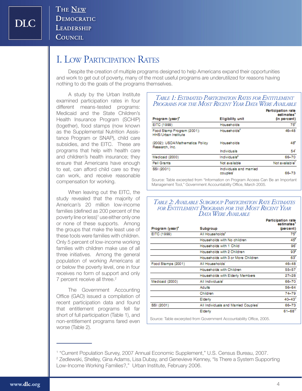**DLC** 

**THE NEW** DEMOCRATIC LEADERSHIP COUNCIL

# I. Low Participation Rates

Despite the creation of multiple programs designed to help Americans expand their opportunities and work to get out of poverty, many of the most useful programs are underutilized for reasons having nothing to do the goals of the programs themselves.

A study by the Urban Institute examined participation rates in four different means-tested programs: Medicaid and the State Children's Health Insurance Program (SCHIP) (together), food stamps (now known as the Supplemental Nutrition Assistance Program or SNAP), child care subsidies, and the EITC. These are programs that help with health care and children's health insurance; they ensure that Americans have enough to eat, can afford child care so they can work, and receive reasonable compensation for working.

When leaving out the EITC, the study revealed that the majority of American's 20 million low-income families (defined as 200 percent of the poverty line or less)<sup>1</sup> use either only one or none of these supports. Among the groups that make the least use of these tools were families with children. Only 5 percent of low-income working families with children make use of all three initiatives. Among the general population of working Americans at or below the poverty level, one in four receives no form of support and only 7 percent receive all three.<sup>2</sup>

The Government Accounting Office (GAO) issued a compilation of recent participation data and found that entitlement programs fell far short of full participation (Table 1), and non-entitlement programs fared even worse (Table 2).

#### *Table 1: Estimated Participation Rates for Entitlement Programs for the Most Recent Year Data Were Available*

|                                                          |                                     | Participation rate<br>estimates |
|----------------------------------------------------------|-------------------------------------|---------------------------------|
| Program (year)*                                          | <b>Eligibility unit</b>             | (in percent)                    |
| EITC (1999)                                              | Households                          | $75^{\circ}$                    |
| Food Stamp Program (2001):<br><b>HHS/Urban Institute</b> | Households <sup>®</sup>             | 46-48                           |
| (2002): USDA/Mathematica Policy<br>Research, Inc.        | Households                          | 48                              |
|                                                          | Individuals                         | 54                              |
| Medicaid (2000)                                          | Individuals <sup>®</sup>            | 66-70                           |
| <b>Pell Grants</b>                                       | Not available                       | Not available <sup>"</sup>      |
| SSI (2001)                                               | Individuals and married<br>couples' | 66-73                           |

Source: Table excerpted from "Information on Program Access Can Be an Important Management Tool," Government Accountability Office, March 2005.

#### *Table 2: Available Subgroup Participation Rate Estimates for Entitlement Programs for the Most Recent Year Data Were Available*

|                    |                                                                      | Participation rate<br>estimates |
|--------------------|----------------------------------------------------------------------|---------------------------------|
| Program (year)*    | <b>Subgroup</b>                                                      | (percent)                       |
| EITC (1999)        | All Households"                                                      | $75^{\circ}$                    |
|                    | Households with No children                                          | 45"                             |
|                    | Households with 1 Child                                              | 96                              |
|                    | Households with 2 Children                                           | 93°                             |
|                    | Households with 3 or More Children                                   | 63°                             |
| Food Stamps (2001) | All Households'                                                      | 46-48                           |
|                    | Households with Children                                             | 55-57                           |
|                    | Households with Elderly Members                                      | 27–28                           |
| Medicaid (2000)    | All Individuals <sup>1</sup>                                         | 66-70                           |
|                    | Adults                                                               | 56-64                           |
|                    | Children                                                             | 74–79                           |
|                    | Elderly                                                              | $40 - 43$                       |
| SSI (2001)         | All Individuals and Married Couples'                                 | 66-73                           |
|                    | Elderly                                                              | $61 - 68^m$                     |
|                    | Osimia: Telefa suggested from Osimianaeth Aggaintelillt: Office OOOF |                                 |

Source: Table excerpted from Government Accountability Office, 2005.

<sup>&</sup>lt;sup>1</sup> "Current Population Survey, 2007 Annual Economic Supplement," U.S. Census Bureau, 2007.

 $^2$  Zedlewski, Shelley, Gina Adams, Lisa Dubay, and Genevieve Kenney, "Is There a System Supporting Low-Income Working Families?," Urban Institute, February 2006.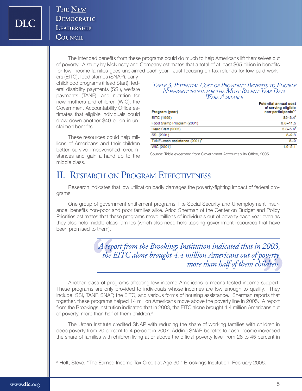The intended benefits from these programs could do much to help Americans lift themselves out of poverty. A study by McKinsey and Company estimates that a total of at least \$65 billion in benefits for low-income families goes unclaimed each year. Just focusing on tax refunds for low-paid work-

ers (EITC), food stamps (SNAP), earlychildhood programs (Head Start), federal disability payments (SSI), welfare payments (TANF), and nutrition for new mothers and children (WIC), the Government Accountability Office estimates that eligible individuals could draw down another \$40 billion in unclaimed benefits.

These resources could help millions of Americans and their children better survive impoverished circumstances and gain a hand up to the middle class.

#### *Table 3: Potential Cost of Providing Benefits to Eligible Non-participants for the Most Recent Year Data Were Available*

| Program (year)                                                     | Potential annual cost<br>of serving eligible<br>non-participants <sup>4,5</sup> |
|--------------------------------------------------------------------|---------------------------------------------------------------------------------|
| EITC (1999)                                                        | $$2 - 3.4$                                                                      |
| Food Stamp Program (2001)                                          | $8.8 - 11.5$                                                                    |
| Head Start (2003)                                                  | $3.8 - 5.6^{\circ}$                                                             |
| SSI (2001)                                                         | $8 - 9.8$                                                                       |
| TANF-cash assistance (2001)*                                       | $8 - 9$                                                                         |
| WIC (2001)                                                         | $1.9 - 2.1$                                                                     |
| Source: Table excernted from Government Accountability Office 2005 |                                                                                 |

Source: Table excerpted from Government Accountability Office, 2005.

# II. RESEARCH ON PROGRAM EFFECTIVENESS

Research indicates that low utilization badly damages the poverty-fighting impact of federal programs.

One group of government entitlement programs, like Social Security and Unemployment Insurance, benefits non-poor and poor families alike. Arloc Sherman of the Center on Budget and Policy Priorities estimates that these programs move millions of individuals out of poverty each year even as they also help middle-class families (which also need help tapping government resources that have been promised to them).

> A rep<br>the *A report from the Brookings Institution indicated that in 2003, the EITC alone brought 4.4 million Americans out of poverty, more than half of them children.*

Another class of programs affecting low-income Americans is means-tested income support. These programs are only provided to individuals whose incomes are low enough to qualify. They include: SSI, TANF, SNAP, the EITC, and various forms of housing assistance. Sherman reports that together, these programs helped 14 million Americans move above the poverty line in 2005. A report from the Brookings Institution indicated that in 2003, the EITC alone brought 4.4 million Americans out of poverty, more than half of them children.<sup>3</sup> *overty,***<br>|** *dren.***<br>| support.<br>| hats that** 

The Urban Institute credited SNAP with reducing the share of working families with children in deep poverty from 20 percent to 4 percent in 2007. Adding SNAP benefits to cash income increased the share of families with children living at or above the official poverty level from 26 to 45 percent in

<sup>&</sup>lt;sup>3</sup> Holt, Steve, "The Earned Income Tax Credit at Age 30," Brookings Institution, February 2006.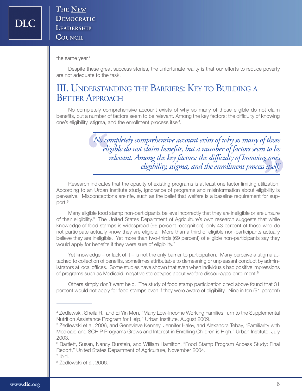the same year.<sup>4</sup>

Despite these great success stories, the unfortunate reality is that our efforts to reduce poverty are not adequate to the task.

# III. Understanding the Barriers: Key to Building a **BETTER APPROACH**

No completely comprehensive account exists of why so many of those eligible do not claim benefits, but a number of factors seem to be relevant. Among the key factors: the difficulty of knowing one's eligibility, stigma, and the enrollment process itself.

> *relevant. Among the key factors: the difficulty of knowing one's***<br>** *eligibility, stigma, and the enrollment process itself.***<br>
> <br>
> <b>S** that the opacity of existing programs is at least one factor limiting utilization.<br>
> Inst **No** co *No completely comprehensive account exists of why so many of those eligible do not claim benefits, but a number of factors seem to be eligibility, stigma, and the enrollment process itself.*

Research indicates that the opacity of existing programs is at least one factor limiting utilization. According to an Urban Institute study, ignorance of programs and misinformation about eligibility is pervasive. Misconceptions are rife, such as the belief that welfare is a baseline requirement for support.<sup>5</sup>

Many eligible food stamp non-participants believe incorrectly that they are ineligible or are unsure of their eligibility.<sup>6</sup> The United States Department of Agriculture's own research suggests that while knowledge of food stamps is widespread (96 percent recognition), only 43 percent of those who do not participate actually know they are eligible. More than a third of eligible non-participants actually believe they are ineligible. Yet more than two-thirds (69 percent) of eligible non-participants say they would apply for benefits if they were sure of eligibility.<sup>7</sup>

Yet knowledge – or lack of it – is not the only barrier to participation. Many perceive a stigma attached to collection of benefits, sometimes attributable to demeaning or unpleasant conduct by administrators at local offices. Some studies have shown that even when individuals had positive impressions of programs such as Medicaid, negative stereotypes about welfare discouraged enrollment. $8$ 

Others simply don't want help. The study of food stamp participation cited above found that 31 percent would not apply for food stamps even if they were aware of eligibility. Nine in ten (91 percent)

<sup>4</sup> Zedlewski, Sheila R. and Ei Yin Mon, "Many Low-Income Working Families Turn to the Supplemental Nutrition Assistance Program for Help," Urban Institute, August 2009.

<sup>&</sup>lt;sup>5</sup> Zedlewski et al, 2006, and Genevieve Kenney, Jennifer Haley, and Alexandra Tebay, "Familiarity with Medicaid and SCHIP Programs Grows and Interest in Enrolling Children is High," Urban Institute, July 2003.

<sup>&</sup>lt;sup>6</sup> Bartlett, Susan, Nancy Burstein, and William Hamilton, "Food Stamp Program Access Study: Final Report," United States Department of Agriculture, November 2004.

<sup>7</sup> Ibid.

<sup>8</sup> Zedlewski et al, 2006.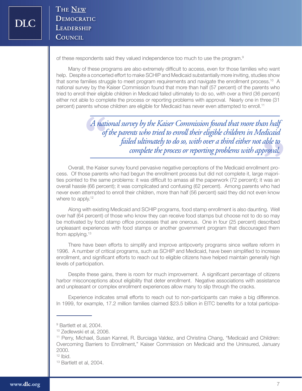of these respondents said they valued independence too much to use the program.9

Many of these programs are also extremely difficult to access, even for those families who want help. Despite a concerted effort to make SCHIP and Medicaid substantially more inviting, studies show that some families struggle to meet program requirements and navigate the enrollment process.<sup>10</sup> A national survey by the Kaiser Commission found that more than half (57 percent) of the parents who tried to enroll their eligible children in Medicaid failed ultimately to do so, with over a third (36 percent) either not able to complete the process or reporting problems with approval. Nearly one in three (31 percent) parents whose children are eligible for Medicaid has never even attempted to enroll.<sup>11</sup>

> *able to***<br>broval.**<br>ent promajori-**A** nat *A national survey by the Kaiser Commission found that more than half of the parents who tried to enroll their eligible children in Medicaid failed ultimately to do so, with over a third either not able to complete the process or reporting problems with approval.*

Overall, the Kaiser survey found pervasive negative perceptions of the Medicaid enrollment process. Of those parents who had begun the enrollment process but did not complete it, large majorities pointed to the same problems: it was difficult to amass all the paperwork (72 percent); it was an overall hassle (66 percent); it was complicated and confusing (62 percent). Among parents who had never even attempted to enroll their children, more than half (56 percent) said they did not even know where to apply.<sup>12</sup>

Along with existing Medicaid and SCHIP programs, food stamp enrollment is also daunting. Well over half (64 percent) of those who know they can receive food stamps but choose not to do so may be motivated by food stamp office processes that are onerous. One in four (25 percent) described unpleasant experiences with food stamps or another government program that discouraged them from applying.<sup>13</sup>

There have been efforts to simplify and improve antipoverty programs since welfare reform in 1996. A number of critical programs, such as SCHIP and Medicaid, have been simplified to increase enrollment, and significant efforts to reach out to eligible citizens have helped maintain generally high levels of participation.

Despite these gains, there is room for much improvement. A significant percentage of citizens harbor misconceptions about eligibility that deter enrollment. Negative associations with assistance and unpleasant or complex enrollment experiences allow many to slip through the cracks.

Experience indicates small efforts to reach out to non-participants can make a big difference. In 1999, for example, 17.2 million families claimed \$23.5 billion in EITC benefits for a total participa-

<sup>&</sup>lt;sup>9</sup> Bartlett et al, 2004.

<sup>10</sup> Zedlewski et al, 2006.

<sup>11</sup> Perry, Michael, Susan Kannel, R. Burciaga Valdez, and Christina Chang, "Medicaid and Children: Overcoming Barriers to Enrollment," Kaiser Commission on Medicaid and the Uninsured, January 2000.

<sup>12</sup> Ibid.

<sup>13</sup> Bartlett et al, 2004.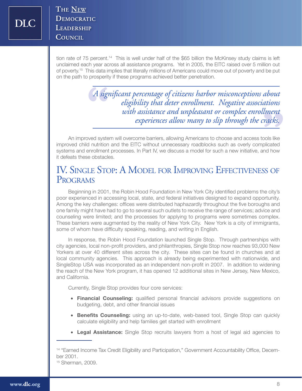tion rate of 75 percent.14 This is well under half of the \$65 billion the McKinsey study claims is left unclaimed each year across all assistance programs. Yet in 2005, the EITC raised over 5 million out of poverty.<sup>15</sup> This data implies that literally millions of Americans could move out of poverty and be put on the path to prosperity if these programs achieved better penetration.

> **"** *with assistance and unpleasant or complex enrollment*  A sign *A significant percentage of citizens harbor misconceptions about eligibility that deter enrollment. Negative associations experiences allow many to slip through the cracks.*

An improved system will overcome barriers, allowing Americans to choose and access tools like improved child nutrition and the EITC without unnecessary roadblocks such as overly complicated systems and enrollment processes. In Part IV, we discuss a model for such a new initiative, and how it defeats these obstacles.

## IV. Single Stop: A Model for Improving Effectiveness of **PROGRAMS**

Beginning in 2001, the Robin Hood Foundation in New York City identified problems the city's poor experienced in accessing local, state, and federal initiatives designed to expand opportunity. Among the key challenges: offices were distributed haphazardly throughout the five boroughs and one family might have had to go to several such outlets to receive the range of services; advice and counseling were limited; and the processes for applying to programs were sometimes complex. These barriers were augmented by the reality of New York City. New York is a city of immigrants, some of whom have difficulty speaking, reading, and writing in English.

In response, the Robin Hood Foundation launched Single Stop. Through partnerships with city agencies, local non-profit providers, and philanthropies, Single Stop now reaches 93,000 New Yorkers at over 40 different sites across the city. These sites can be found in churches and at local community agencies. This approach is already being experimented with nationwide, and SingleStop USA was incorporated as an independent non-profit in 2007. In addition to widening the reach of the New York program, it has opened 12 additional sites in New Jersey, New Mexico, and California.

Currently, Single Stop provides four core services:

- **Financial Counseling:** qualified personal financial advisors provide suggestions on budgeting, debt, and other financial issues
- **Benefits Counseling:** using an up-to-date, web-based tool, Single Stop can quickly calculate eligibility and help families get started with enrollment
- **Legal Assistance:** Single Stop recruits lawyers from a host of legal aid agencies to

<sup>&</sup>lt;sup>14</sup> "Earned Income Tax Credit Eligibility and Participation," Government Accountability Office, December 2001.

<sup>15</sup> Sherman, 2009.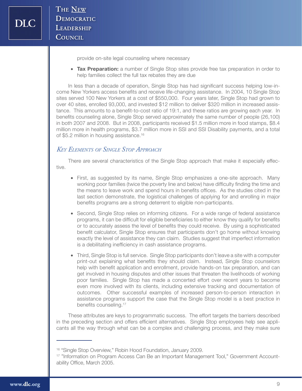provide on-site legal counseling where necessary

**• Tax Preparation:** a number of Single Stop sites provide free tax preparation in order to help families collect the full tax rebates they are due

In less than a decade of operation, Single Stop has had significant success helping low-income New Yorkers access benefits and receive life-changing assistance. In 2004, 10 Single Stop sites served 100 New Yorkers at a cost of \$550,000. Four years later, Single Stop had grown to over 40 sites, enrolled 93,000, and invested \$12 million to deliver \$320 million in increased assistance. This amounts to a benefit-to-cost ratio of 19:1, and these ratios are growing each year. In benefits counseling alone, Single Stop served approximately the same number of people (26,100) in both 2007 and 2008. But in 2008, participants received \$1.5 million more in food stamps, \$8.4 million more in health programs, \$3.7 million more in SSI and SSI Disability payments, and a total of \$5.2 million in housing assistance.<sup>16</sup>

#### *Key Elements of Single Stop Approach*

There are several characteristics of the Single Stop approach that make it especially effective.

- First, as suggested by its name, Single Stop emphasizes a one-site approach. Many working poor families (twice the poverty line and below) have difficulty finding the time and the means to leave work and spend hours in benefits offices. As the studies cited in the last section demonstrate, the logistical challenges of applying for and enrolling in major benefits programs are a strong deterrent to eligible non-participants.
- Second, Single Stop relies on informing citizens. For a wide range of federal assistance programs, it can be difficult for eligible beneficiaries to either know they qualify for benefits or to accurately assess the level of benefits they could receive. By using a sophisticated benefit calculator, Single Stop ensures that participants don't go home without knowing exactly the level of assistance they can claim. Studies suggest that imperfect information is a debilitating inefficiency in cash assistance programs.
- Third, Single Stop is full service. Single Stop participants don't leave a site with a computer print-out explaining what benefits they should claim. Instead, Single Stop counselors help with benefit application and enrollment, provide hands-on tax preparation, and can get involved in housing disputes and other issues that threaten the livelihoods of working poor families. Single Stop has made a concerted effort over recent years to become even more involved with its clients, including extensive tracking and documentation of outcomes. Other successful examples of increased person-to-person interaction in assistance programs support the case that the Single Stop model is a best practice in benefits counseling.<sup>17</sup>

These attributes are keys to programmatic success. The effort targets the barriers described in the preceding section and offers efficient alternatives. Single Stop employees help see applicants all the way through what can be a complex and challenging process, and they make sure

<sup>&</sup>lt;sup>16</sup> "Single Stop Overview," Robin Hood Foundation, January 2009.

<sup>&</sup>lt;sup>17</sup> "Information on Program Access Can Be an Important Management Tool," Government Accountability Office, March 2005.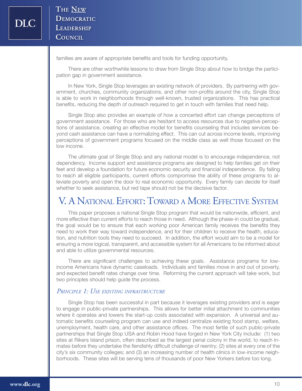families are aware of appropriate benefits and tools for funding opportunity.

There are other worthwhile lessons to draw from Single Stop about how to bridge the participation gap in government assistance.

In New York, Single Stop leverages an existing network of providers. By partnering with government, churches, community organizations, and other non-profits around the city, Single Stop is able to work in neighborhoods through well-known, trusted organizations. This has practical benefits, reducing the depth of outreach required to get in touch with families that need help.

Single Stop also provides an example of how a concerted effort can change perceptions of government assistance. For those who are hesitant to access resources due to negative perceptions of assistance, creating an effective model for benefits counseling that includes services beyond cash assistance can have a normalizing effect. This can cut across income levels, improving perceptions of government programs focused on the middle class as well those focused on the low income.

The ultimate goal of Single Stop and any national model is to encourage independence, not dependency. Income support and assistance programs are designed to help families get on their feet and develop a foundation for future economic security and financial independence. By failing to reach all eligible participants, current efforts compromise the ability of these programs to alleviate poverty and open the door to real economic opportunity. Every family can decide for itself whether to seek assistance, but red tape should not be the decisive factor.

# V. A National Effort: Toward a More Effective System

This paper proposes a national Single Stop program that would be nationwide, efficient, and more effective than current efforts to reach those in need. Although the phase-in could be gradual, the goal would be to ensure that each working poor American family receives the benefits they need to work their way toward independence, and for their children to receive the health, education, and nutrition tools they need to succeed. In addition, the effort would aim to be a model for ensuring a more logical, transparent, and accessible system for all Americans to be informed about and able to utilize governmental resources.

There are significant challenges to achieving these goals. Assistance programs for lowincome Americans have dynamic caseloads. Individuals and families move in and out of poverty, and expected benefit rates change over time. Reforming the current approach will take work, but two principles should help guide the process.

#### *Principle 1: Use existing infrastructure*

Single Stop has been successful in part because it leverages existing providers and is eager to engage in public-private partnerships. This allows for better initial attachment to communities where it operates and lowers the start-up costs associated with expansion. A universal and automatic benefits counseling program can use and indeed centralize existing food stamp, welfare, unemployment, health care, and other assistance offices. The most fertile of such public-private partnerships that Single Stop USA and Robin Hood have forged in New York City include: (1) two sites at Rikers Island prison, often described as the largest penal colony in the world, to reach inmates before they undertake the fiendishly difficult challenge of reentry; (2) sites at every one of the city's six community colleges; and (3) an increasing number of health clinics in low-income neighborhoods. These sites will be serving tens of thousands of poor New Yorkers before too long.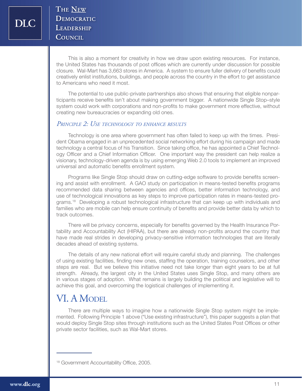This is also a moment for creativity in how we draw upon existing resources. For instance, the United States has thousands of post offices which are currently under discussion for possible closure. Wal-Mart has 3,663 stores in America. A system to ensure fuller delivery of benefits could creatively enlist institutions, buildings, and people across the country in the effort to get assistance to Americans who need it most.

The potential to use public-private partnerships also shows that ensuring that eligible nonparticipants receive benefits isn't about making government bigger. A nationwide Single Stop–style system could work with corporations and non-profits to make government more effective, without creating new bureaucracies or expanding old ones.

#### *Principle 2: Use technology to enhance results*

Technology is one area where government has often failed to keep up with the times. President Obama engaged in an unprecedented social networking effort during his campaign and made technology a central focus of his Transition. Since taking office, he has appointed a Chief Technology Officer and a Chief Information Officer. One important way the president can help realize a visionary, technology-driven agenda is by using emerging Web 2.0 tools to implement an improved universal and automatic benefits enrollment system.

Programs like Single Stop should draw on cutting-edge software to provide benefits screening and assist with enrollment. A GAO study on participation in means-tested benefits programs recommended data sharing between agencies and offices, better information technology, and use of technological innovations as key steps to improve participation rates in means-tested programs.<sup>18</sup> Developing a robust technological infrastructure that can keep up with individuals and families who are mobile can help ensure continuity of benefits and provide better data by which to track outcomes.

There will be privacy concerns, especially for benefits governed by the Health Insurance Portability and Accountability Act (HIPAA), but there are already non-profits around the country that have made real strides in developing privacy-sensitive information technologies that are literally decades ahead of existing systems.

The details of any new national effort will require careful study and planning. The challenges of using existing facilities, finding new ones, staffing the operation, training counselors, and other steps are real. But we believe this initiative need not take longer than eight years to be at full strength. Already, the largest city in the United States uses Single Stop, and many others are in various stages of adoption. What remains is largely building the political and legislative will to achieve this goal, and overcoming the logistical challenges of implementing it.

## VI. A MODEL

There are multiple ways to imagine how a nationwide Single Stop system might be implemented. Following Principle 1 above ("Use existing infrastructure"), this paper suggests a plan that would deploy Single Stop sites through institutions such as the United States Post Offices or other private sector facilities, such as Wal-Mart stores.

<sup>18</sup> Government Accountability Office, 2005.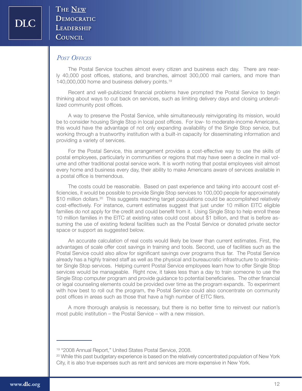#### *Post Offices*

The Postal Service touches almost every citizen and business each day. There are nearly 40,000 post offices, stations, and branches, almost 300,000 mail carriers, and more than 140,000,000 home and business delivery points.19

Recent and well-publicized financial problems have prompted the Postal Service to begin thinking about ways to cut back on services, such as limiting delivery days and closing underutilized community post offices.

A way to preserve the Postal Service, while simultaneously reinvigorating its mission, would be to consider housing Single Stop in local post offices. For low- to moderate-income Americans, this would have the advantage of not only expanding availability of the Single Stop service, but working through a trustworthy institution with a built-in capacity for disseminating information and providing a variety of services.

For the Postal Service, this arrangement provides a cost-effective way to use the skills of postal employees, particularly in communities or regions that may have seen a decline in mail volume and other traditional postal service work. It is worth noting that postal employees visit almost every home and business every day, their ability to make Americans aware of services available in a postal office is tremendous.

The costs could be reasonable. Based on past experience and taking into account cost efficiencies, it would be possible to provide Single Stop services to 100,000 people for approximately \$10 million dollars.<sup>20</sup> This suggests reaching target populations could be accomplished relatively cost-effectively. For instance, current estimates suggest that just under 10 million EITC eligible families do not apply for the credit and could benefit from it. Using Single Stop to help enroll these 10 million families in the EITC at existing rates could cost about \$1 billion, and that is before assuming the use of existing federal facilities such as the Postal Service or donated private sector space or support as suggested below.

An accurate calculation of real costs would likely be lower than current estimates. First, the advantages of scale offer cost savings in training and tools. Second, use of facilities such as the Postal Service could also allow for significant savings over programs thus far. The Postal Service already has a highly trained staff as well as the physical and bureaucratic infrastructure to administer Single Stop services. Helping current Postal Service employees learn how to offer Single Stop services would be manageable. Right now, it takes less than a day to train someone to use the Single Stop computer program and provide guidance to potential beneficiaries. The other financial or legal counseling elements could be provided over time as the program expands. To experiment with how best to roll out the program, the Postal Service could also concentrate on community post offices in areas such as those that have a high number of EITC filers.

A more thorough analysis is necessary, but there is no better time to reinvest our nation's most public institution – the Postal Service – with a new mission.

<sup>19 &</sup>quot;2008 Annual Report," United States Postal Service, 2008.

<sup>&</sup>lt;sup>20</sup> While this past budgetary experience is based on the relatively concentrated population of New York City, it is also true expenses such as rent and services are more expensive in New York.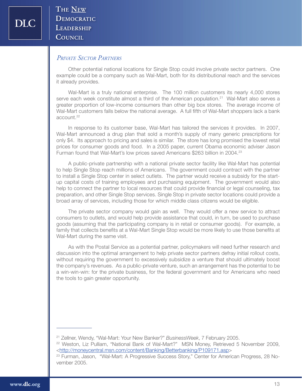#### *Private Sector Partners*

Other potential national locations for Single Stop could involve private sector partners. One example could be a company such as Wal-Mart, both for its distributional reach and the services it already provides.

Wal-Mart is a truly national enterprise. The 100 million customers its nearly 4,000 stores serve each week constitute almost a third of the American population.<sup>21</sup> Wal-Mart also serves a greater proportion of low-income consumers than other big box stores. The average income of Wal-Mart customers falls below the national average. A full fifth of Wal-Mart shoppers lack a bank account.<sup>22</sup>

In response to its customer base, Wal-Mart has tailored the services it provides. In 2007, Wal-Mart announced a drug plan that sold a month's supply of many generic prescriptions for only \$4. Its approach to pricing and sales is similar. The store has long promised the lowest retail prices for consumer goods and food. In a 2005 paper, current Obama economic adviser Jason Furman found that Wal-Mart's low prices saved Americans \$263 billion in 2004.23

A public-private partnership with a national private sector facility like Wal-Mart has potential to help Single Stop reach millions of Americans. The government could contract with the partner to install a Single Stop center in select outlets. The partner would receive a subsidy for the startup capital costs of training employees and purchasing equipment. The government would also help to connect the partner to local resources that could provide financial or legal counseling, tax preparation, and other Single Stop services. Single Stop in private sector locations could provide a broad array of services, including those for which middle class citizens would be eligible.

The private sector company would gain as well. They would offer a new service to attract consumers to outlets, and would help provide assistance that could, in turn, be used to purchase goods (assuming that the participating company is in retail or consumer goods). For example, a family that collects benefits at a Wal-Mart Single Stop would be more likely to use those benefits at Wal-Mart during the same visit.

As with the Postal Service as a potential partner, policymakers will need further research and discussion into the optimal arrangement to help private sector partners defray initial rollout costs, without requiring the government to excessively subsidize a venture that should ultimately boost the company's revenues. As a public-private venture, such an arrangement has the potential to be a win-win-win: for the private business, for the federal government and for Americans who need the tools to gain greater opportunity.

<sup>21</sup> Zellner, Wendy, "Wal-Mart: Your New Banker?" *BusinessWeek*, 7 February 2005.

<sup>&</sup>lt;sup>22</sup> Weston, Liz Pulliam, "National Bank of Wal-Mart?" MSN Money, Retrieved 5 November 2009, <http://moneycentral.msn.com/content/Banking/Betterbanking/P109171.asp>

<sup>&</sup>lt;sup>23</sup> Furman, Jason, "Wal-Mart: A Progressive Success Story," Center for American Progress, 28 November 2005.